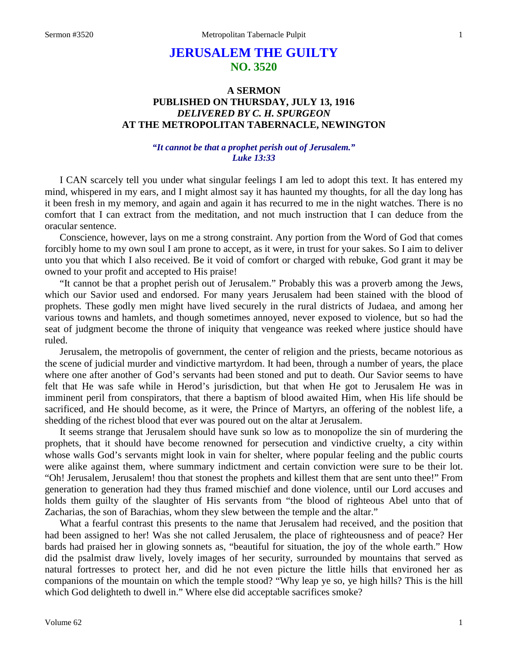## **JERUSALEM THE GUILTY NO. 3520**

## **A SERMON PUBLISHED ON THURSDAY, JULY 13, 1916** *DELIVERED BY C. H. SPURGEON* **AT THE METROPOLITAN TABERNACLE, NEWINGTON**

## *"It cannot be that a prophet perish out of Jerusalem." Luke 13:33*

I CAN scarcely tell you under what singular feelings I am led to adopt this text. It has entered my mind, whispered in my ears, and I might almost say it has haunted my thoughts, for all the day long has it been fresh in my memory, and again and again it has recurred to me in the night watches. There is no comfort that I can extract from the meditation, and not much instruction that I can deduce from the oracular sentence.

Conscience, however, lays on me a strong constraint. Any portion from the Word of God that comes forcibly home to my own soul I am prone to accept, as it were, in trust for your sakes. So I aim to deliver unto you that which I also received. Be it void of comfort or charged with rebuke, God grant it may be owned to your profit and accepted to His praise!

"It cannot be that a prophet perish out of Jerusalem." Probably this was a proverb among the Jews, which our Savior used and endorsed. For many years Jerusalem had been stained with the blood of prophets. These godly men might have lived securely in the rural districts of Judaea, and among her various towns and hamlets, and though sometimes annoyed, never exposed to violence, but so had the seat of judgment become the throne of iniquity that vengeance was reeked where justice should have ruled.

Jerusalem, the metropolis of government, the center of religion and the priests, became notorious as the scene of judicial murder and vindictive martyrdom. It had been, through a number of years, the place where one after another of God's servants had been stoned and put to death. Our Savior seems to have felt that He was safe while in Herod's jurisdiction, but that when He got to Jerusalem He was in imminent peril from conspirators, that there a baptism of blood awaited Him, when His life should be sacrificed, and He should become, as it were, the Prince of Martyrs, an offering of the noblest life, a shedding of the richest blood that ever was poured out on the altar at Jerusalem.

It seems strange that Jerusalem should have sunk so low as to monopolize the sin of murdering the prophets, that it should have become renowned for persecution and vindictive cruelty, a city within whose walls God's servants might look in vain for shelter, where popular feeling and the public courts were alike against them, where summary indictment and certain conviction were sure to be their lot. "Oh! Jerusalem, Jerusalem! thou that stonest the prophets and killest them that are sent unto thee!" From generation to generation had they thus framed mischief and done violence, until our Lord accuses and holds them guilty of the slaughter of His servants from "the blood of righteous Abel unto that of Zacharias, the son of Barachias, whom they slew between the temple and the altar."

What a fearful contrast this presents to the name that Jerusalem had received, and the position that had been assigned to her! Was she not called Jerusalem, the place of righteousness and of peace? Her bards had praised her in glowing sonnets as, "beautiful for situation, the joy of the whole earth." How did the psalmist draw lively, lovely images of her security, surrounded by mountains that served as natural fortresses to protect her, and did he not even picture the little hills that environed her as companions of the mountain on which the temple stood? "Why leap ye so, ye high hills? This is the hill which God delighteth to dwell in." Where else did acceptable sacrifices smoke?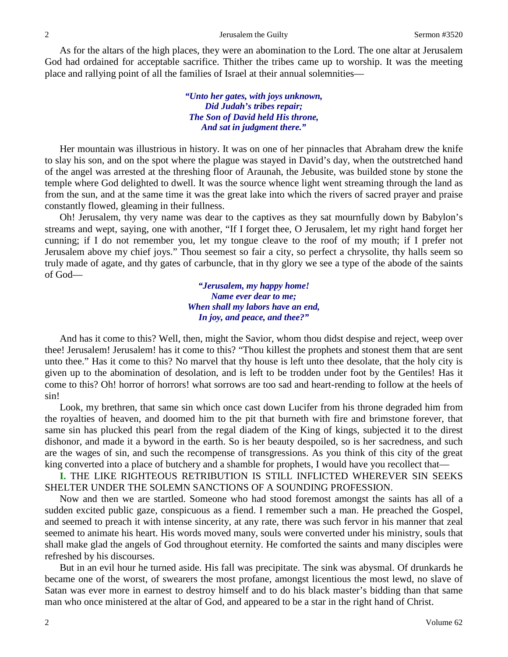As for the altars of the high places, they were an abomination to the Lord. The one altar at Jerusalem God had ordained for acceptable sacrifice. Thither the tribes came up to worship. It was the meeting place and rallying point of all the families of Israel at their annual solemnities—

## *"Unto her gates, with joys unknown, Did Judah's tribes repair; The Son of David held His throne, And sat in judgment there."*

Her mountain was illustrious in history. It was on one of her pinnacles that Abraham drew the knife to slay his son, and on the spot where the plague was stayed in David's day, when the outstretched hand of the angel was arrested at the threshing floor of Araunah, the Jebusite, was builded stone by stone the temple where God delighted to dwell. It was the source whence light went streaming through the land as from the sun, and at the same time it was the great lake into which the rivers of sacred prayer and praise constantly flowed, gleaming in their fullness.

Oh! Jerusalem, thy very name was dear to the captives as they sat mournfully down by Babylon's streams and wept, saying, one with another, "If I forget thee, O Jerusalem, let my right hand forget her cunning; if I do not remember you, let my tongue cleave to the roof of my mouth; if I prefer not Jerusalem above my chief joys." Thou seemest so fair a city, so perfect a chrysolite, thy halls seem so truly made of agate, and thy gates of carbuncle, that in thy glory we see a type of the abode of the saints of God—

> *"Jerusalem, my happy home! Name ever dear to me; When shall my labors have an end, In joy, and peace, and thee?"*

And has it come to this? Well, then, might the Savior, whom thou didst despise and reject, weep over thee! Jerusalem! Jerusalem! has it come to this? "Thou killest the prophets and stonest them that are sent unto thee." Has it come to this? No marvel that thy house is left unto thee desolate, that the holy city is given up to the abomination of desolation, and is left to be trodden under foot by the Gentiles! Has it come to this? Oh! horror of horrors! what sorrows are too sad and heart-rending to follow at the heels of sin!

Look, my brethren, that same sin which once cast down Lucifer from his throne degraded him from the royalties of heaven, and doomed him to the pit that burneth with fire and brimstone forever, that same sin has plucked this pearl from the regal diadem of the King of kings, subjected it to the direst dishonor, and made it a byword in the earth. So is her beauty despoiled, so is her sacredness, and such are the wages of sin, and such the recompense of transgressions. As you think of this city of the great king converted into a place of butchery and a shamble for prophets, I would have you recollect that—

**I.** THE LIKE RIGHTEOUS RETRIBUTION IS STILL INFLICTED WHEREVER SIN SEEKS SHELTER UNDER THE SOLEMN SANCTIONS OF A SOUNDING PROFESSION.

Now and then we are startled. Someone who had stood foremost amongst the saints has all of a sudden excited public gaze, conspicuous as a fiend. I remember such a man. He preached the Gospel, and seemed to preach it with intense sincerity, at any rate, there was such fervor in his manner that zeal seemed to animate his heart. His words moved many, souls were converted under his ministry, souls that shall make glad the angels of God throughout eternity. He comforted the saints and many disciples were refreshed by his discourses.

But in an evil hour he turned aside. His fall was precipitate. The sink was abysmal. Of drunkards he became one of the worst, of swearers the most profane, amongst licentious the most lewd, no slave of Satan was ever more in earnest to destroy himself and to do his black master's bidding than that same man who once ministered at the altar of God, and appeared to be a star in the right hand of Christ.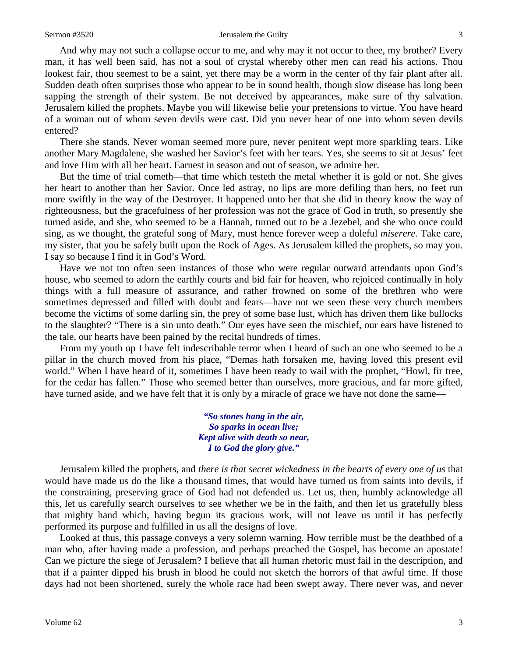And why may not such a collapse occur to me, and why may it not occur to thee, my brother? Every man, it has well been said, has not a soul of crystal whereby other men can read his actions. Thou lookest fair, thou seemest to be a saint, yet there may be a worm in the center of thy fair plant after all. Sudden death often surprises those who appear to be in sound health, though slow disease has long been sapping the strength of their system. Be not deceived by appearances, make sure of thy salvation. Jerusalem killed the prophets. Maybe you will likewise belie your pretensions to virtue. You have heard of a woman out of whom seven devils were cast. Did you never hear of one into whom seven devils entered?

There she stands. Never woman seemed more pure, never penitent wept more sparkling tears. Like another Mary Magdalene, she washed her Savior's feet with her tears. Yes, she seems to sit at Jesus' feet and love Him with all her heart. Earnest in season and out of season, we admire her.

But the time of trial cometh—that time which testeth the metal whether it is gold or not. She gives her heart to another than her Savior. Once led astray, no lips are more defiling than hers, no feet run more swiftly in the way of the Destroyer. It happened unto her that she did in theory know the way of righteousness, but the gracefulness of her profession was not the grace of God in truth, so presently she turned aside, and she, who seemed to be a Hannah, turned out to be a Jezebel, and she who once could sing, as we thought, the grateful song of Mary, must hence forever weep a doleful *miserere.* Take care, my sister, that you be safely built upon the Rock of Ages. As Jerusalem killed the prophets, so may you. I say so because I find it in God's Word.

Have we not too often seen instances of those who were regular outward attendants upon God's house, who seemed to adorn the earthly courts and bid fair for heaven, who rejoiced continually in holy things with a full measure of assurance, and rather frowned on some of the brethren who were sometimes depressed and filled with doubt and fears—have not we seen these very church members become the victims of some darling sin, the prey of some base lust, which has driven them like bullocks to the slaughter? "There is a sin unto death." Our eyes have seen the mischief, our ears have listened to the tale, our hearts have been pained by the recital hundreds of times.

From my youth up I have felt indescribable terror when I heard of such an one who seemed to be a pillar in the church moved from his place, "Demas hath forsaken me, having loved this present evil world." When I have heard of it, sometimes I have been ready to wail with the prophet, "Howl, fir tree, for the cedar has fallen." Those who seemed better than ourselves, more gracious, and far more gifted, have turned aside, and we have felt that it is only by a miracle of grace we have not done the same—

> *"So stones hang in the air, So sparks in ocean live; Kept alive with death so near, I to God the glory give."*

Jerusalem killed the prophets, and *there is that secret wickedness in the hearts of every one of us* that would have made us do the like a thousand times, that would have turned us from saints into devils, if the constraining, preserving grace of God had not defended us. Let us, then, humbly acknowledge all this, let us carefully search ourselves to see whether we be in the faith, and then let us gratefully bless that mighty hand which, having begun its gracious work, will not leave us until it has perfectly performed its purpose and fulfilled in us all the designs of love.

Looked at thus, this passage conveys a very solemn warning. How terrible must be the deathbed of a man who, after having made a profession, and perhaps preached the Gospel, has become an apostate! Can we picture the siege of Jerusalem? I believe that all human rhetoric must fail in the description, and that if a painter dipped his brush in blood he could not sketch the horrors of that awful time. If those days had not been shortened, surely the whole race had been swept away. There never was, and never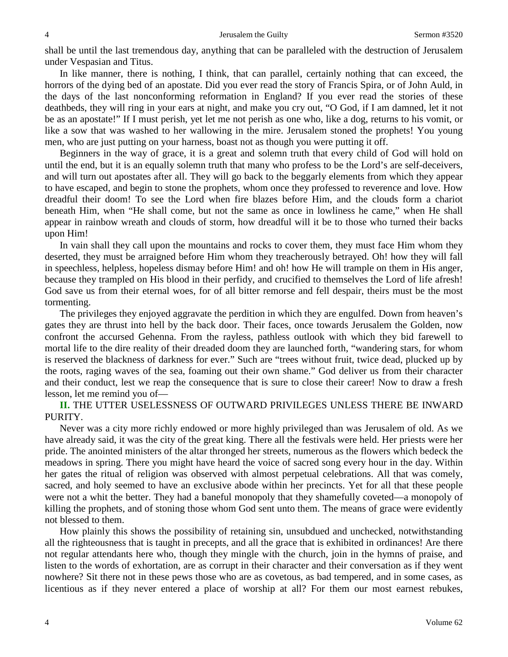shall be until the last tremendous day, anything that can be paralleled with the destruction of Jerusalem under Vespasian and Titus.

In like manner, there is nothing, I think, that can parallel, certainly nothing that can exceed, the horrors of the dying bed of an apostate. Did you ever read the story of Francis Spira, or of John Auld, in the days of the last nonconforming reformation in England? If you ever read the stories of these deathbeds, they will ring in your ears at night, and make you cry out, "O God, if I am damned, let it not be as an apostate!" If I must perish, yet let me not perish as one who, like a dog, returns to his vomit, or like a sow that was washed to her wallowing in the mire. Jerusalem stoned the prophets! You young men, who are just putting on your harness, boast not as though you were putting it off.

Beginners in the way of grace, it is a great and solemn truth that every child of God will hold on until the end, but it is an equally solemn truth that many who profess to be the Lord's are self-deceivers, and will turn out apostates after all. They will go back to the beggarly elements from which they appear to have escaped, and begin to stone the prophets, whom once they professed to reverence and love. How dreadful their doom! To see the Lord when fire blazes before Him, and the clouds form a chariot beneath Him, when "He shall come, but not the same as once in lowliness he came," when He shall appear in rainbow wreath and clouds of storm, how dreadful will it be to those who turned their backs upon Him!

In vain shall they call upon the mountains and rocks to cover them, they must face Him whom they deserted, they must be arraigned before Him whom they treacherously betrayed. Oh! how they will fall in speechless, helpless, hopeless dismay before Him! and oh! how He will trample on them in His anger, because they trampled on His blood in their perfidy, and crucified to themselves the Lord of life afresh! God save us from their eternal woes, for of all bitter remorse and fell despair, theirs must be the most tormenting.

The privileges they enjoyed aggravate the perdition in which they are engulfed. Down from heaven's gates they are thrust into hell by the back door. Their faces, once towards Jerusalem the Golden, now confront the accursed Gehenna. From the rayless, pathless outlook with which they bid farewell to mortal life to the dire reality of their dreaded doom they are launched forth, "wandering stars, for whom is reserved the blackness of darkness for ever." Such are "trees without fruit, twice dead, plucked up by the roots, raging waves of the sea, foaming out their own shame." God deliver us from their character and their conduct, lest we reap the consequence that is sure to close their career! Now to draw a fresh lesson, let me remind you of—

**II.** THE UTTER USELESSNESS OF OUTWARD PRIVILEGES UNLESS THERE BE INWARD PURITY.

Never was a city more richly endowed or more highly privileged than was Jerusalem of old. As we have already said, it was the city of the great king. There all the festivals were held. Her priests were her pride. The anointed ministers of the altar thronged her streets, numerous as the flowers which bedeck the meadows in spring. There you might have heard the voice of sacred song every hour in the day. Within her gates the ritual of religion was observed with almost perpetual celebrations. All that was comely, sacred, and holy seemed to have an exclusive abode within her precincts. Yet for all that these people were not a whit the better. They had a baneful monopoly that they shamefully coveted—a monopoly of killing the prophets, and of stoning those whom God sent unto them. The means of grace were evidently not blessed to them.

How plainly this shows the possibility of retaining sin, unsubdued and unchecked, notwithstanding all the righteousness that is taught in precepts, and all the grace that is exhibited in ordinances! Are there not regular attendants here who, though they mingle with the church, join in the hymns of praise, and listen to the words of exhortation, are as corrupt in their character and their conversation as if they went nowhere? Sit there not in these pews those who are as covetous, as bad tempered, and in some cases, as licentious as if they never entered a place of worship at all? For them our most earnest rebukes,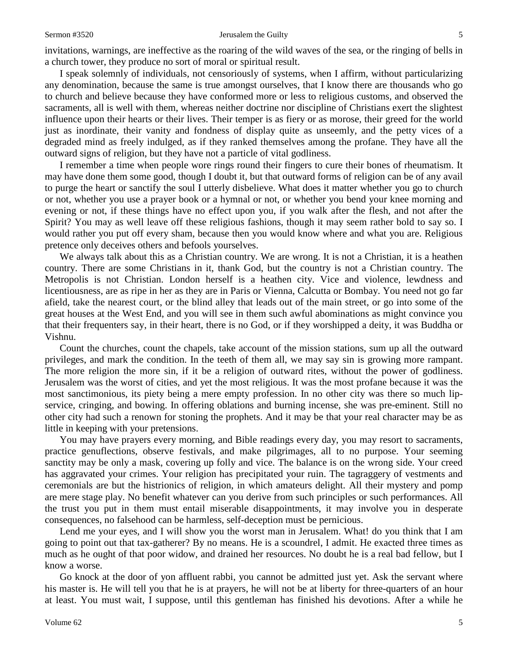invitations, warnings, are ineffective as the roaring of the wild waves of the sea, or the ringing of bells in a church tower, they produce no sort of moral or spiritual result.

I speak solemnly of individuals, not censoriously of systems, when I affirm, without particularizing any denomination, because the same is true amongst ourselves, that I know there are thousands who go to church and believe because they have conformed more or less to religious customs, and observed the sacraments, all is well with them, whereas neither doctrine nor discipline of Christians exert the slightest influence upon their hearts or their lives. Their temper is as fiery or as morose, their greed for the world just as inordinate, their vanity and fondness of display quite as unseemly, and the petty vices of a degraded mind as freely indulged, as if they ranked themselves among the profane. They have all the outward signs of religion, but they have not a particle of vital godliness.

I remember a time when people wore rings round their fingers to cure their bones of rheumatism. It may have done them some good, though I doubt it, but that outward forms of religion can be of any avail to purge the heart or sanctify the soul I utterly disbelieve. What does it matter whether you go to church or not, whether you use a prayer book or a hymnal or not, or whether you bend your knee morning and evening or not, if these things have no effect upon you, if you walk after the flesh, and not after the Spirit? You may as well leave off these religious fashions, though it may seem rather bold to say so. I would rather you put off every sham, because then you would know where and what you are. Religious pretence only deceives others and befools yourselves.

We always talk about this as a Christian country. We are wrong. It is not a Christian, it is a heathen country. There are some Christians in it, thank God, but the country is not a Christian country. The Metropolis is not Christian. London herself is a heathen city. Vice and violence, lewdness and licentiousness, are as ripe in her as they are in Paris or Vienna, Calcutta or Bombay. You need not go far afield, take the nearest court, or the blind alley that leads out of the main street, or go into some of the great houses at the West End, and you will see in them such awful abominations as might convince you that their frequenters say, in their heart, there is no God, or if they worshipped a deity, it was Buddha or Vishnu.

Count the churches, count the chapels, take account of the mission stations, sum up all the outward privileges, and mark the condition. In the teeth of them all, we may say sin is growing more rampant. The more religion the more sin, if it be a religion of outward rites, without the power of godliness. Jerusalem was the worst of cities, and yet the most religious. It was the most profane because it was the most sanctimonious, its piety being a mere empty profession. In no other city was there so much lipservice, cringing, and bowing. In offering oblations and burning incense, she was pre-eminent. Still no other city had such a renown for stoning the prophets. And it may be that your real character may be as little in keeping with your pretensions.

You may have prayers every morning, and Bible readings every day, you may resort to sacraments, practice genuflections, observe festivals, and make pilgrimages, all to no purpose. Your seeming sanctity may be only a mask, covering up folly and vice. The balance is on the wrong side. Your creed has aggravated your crimes. Your religion has precipitated your ruin. The tagraggery of vestments and ceremonials are but the histrionics of religion, in which amateurs delight. All their mystery and pomp are mere stage play. No benefit whatever can you derive from such principles or such performances. All the trust you put in them must entail miserable disappointments, it may involve you in desperate consequences, no falsehood can be harmless, self-deception must be pernicious.

Lend me your eyes, and I will show you the worst man in Jerusalem. What! do you think that I am going to point out that tax-gatherer? By no means. He is a scoundrel, I admit. He exacted three times as much as he ought of that poor widow, and drained her resources. No doubt he is a real bad fellow, but I know a worse.

Go knock at the door of yon affluent rabbi, you cannot be admitted just yet. Ask the servant where his master is. He will tell you that he is at prayers, he will not be at liberty for three-quarters of an hour at least. You must wait, I suppose, until this gentleman has finished his devotions. After a while he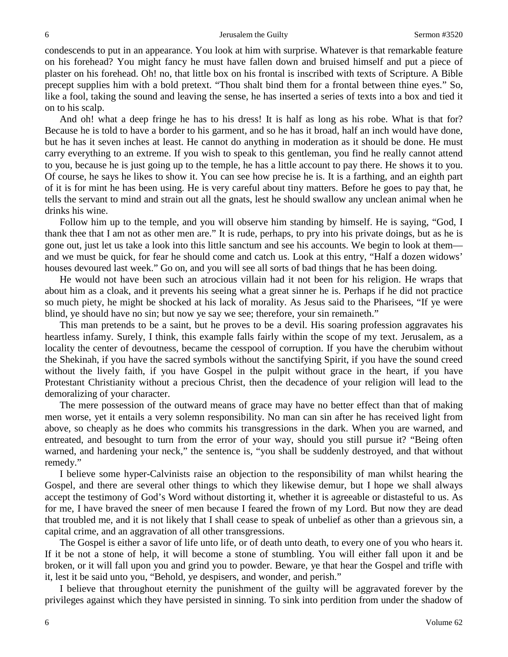condescends to put in an appearance. You look at him with surprise. Whatever is that remarkable feature on his forehead? You might fancy he must have fallen down and bruised himself and put a piece of plaster on his forehead. Oh! no, that little box on his frontal is inscribed with texts of Scripture. A Bible precept supplies him with a bold pretext. "Thou shalt bind them for a frontal between thine eyes." So, like a fool, taking the sound and leaving the sense, he has inserted a series of texts into a box and tied it on to his scalp.

And oh! what a deep fringe he has to his dress! It is half as long as his robe. What is that for? Because he is told to have a border to his garment, and so he has it broad, half an inch would have done, but he has it seven inches at least. He cannot do anything in moderation as it should be done. He must carry everything to an extreme. If you wish to speak to this gentleman, you find he really cannot attend to you, because he is just going up to the temple, he has a little account to pay there. He shows it to you. Of course, he says he likes to show it. You can see how precise he is. It is a farthing, and an eighth part of it is for mint he has been using. He is very careful about tiny matters. Before he goes to pay that, he tells the servant to mind and strain out all the gnats, lest he should swallow any unclean animal when he drinks his wine.

Follow him up to the temple, and you will observe him standing by himself. He is saying, "God, I thank thee that I am not as other men are." It is rude, perhaps, to pry into his private doings, but as he is gone out, just let us take a look into this little sanctum and see his accounts. We begin to look at them and we must be quick, for fear he should come and catch us. Look at this entry, "Half a dozen widows' houses devoured last week." Go on, and you will see all sorts of bad things that he has been doing.

He would not have been such an atrocious villain had it not been for his religion. He wraps that about him as a cloak, and it prevents his seeing what a great sinner he is. Perhaps if he did not practice so much piety, he might be shocked at his lack of morality. As Jesus said to the Pharisees, "If ye were blind, ye should have no sin; but now ye say we see; therefore, your sin remaineth."

This man pretends to be a saint, but he proves to be a devil. His soaring profession aggravates his heartless infamy. Surely, I think, this example falls fairly within the scope of my text. Jerusalem, as a locality the center of devoutness, became the cesspool of corruption. If you have the cherubim without the Shekinah, if you have the sacred symbols without the sanctifying Spirit, if you have the sound creed without the lively faith, if you have Gospel in the pulpit without grace in the heart, if you have Protestant Christianity without a precious Christ, then the decadence of your religion will lead to the demoralizing of your character.

The mere possession of the outward means of grace may have no better effect than that of making men worse, yet it entails a very solemn responsibility. No man can sin after he has received light from above, so cheaply as he does who commits his transgressions in the dark. When you are warned, and entreated, and besought to turn from the error of your way, should you still pursue it? "Being often warned, and hardening your neck," the sentence is, "you shall be suddenly destroyed, and that without remedy."

I believe some hyper-Calvinists raise an objection to the responsibility of man whilst hearing the Gospel, and there are several other things to which they likewise demur, but I hope we shall always accept the testimony of God's Word without distorting it, whether it is agreeable or distasteful to us. As for me, I have braved the sneer of men because I feared the frown of my Lord. But now they are dead that troubled me, and it is not likely that I shall cease to speak of unbelief as other than a grievous sin, a capital crime, and an aggravation of all other transgressions.

The Gospel is either a savor of life unto life, or of death unto death, to every one of you who hears it. If it be not a stone of help, it will become a stone of stumbling. You will either fall upon it and be broken, or it will fall upon you and grind you to powder. Beware, ye that hear the Gospel and trifle with it, lest it be said unto you, "Behold, ye despisers, and wonder, and perish."

I believe that throughout eternity the punishment of the guilty will be aggravated forever by the privileges against which they have persisted in sinning. To sink into perdition from under the shadow of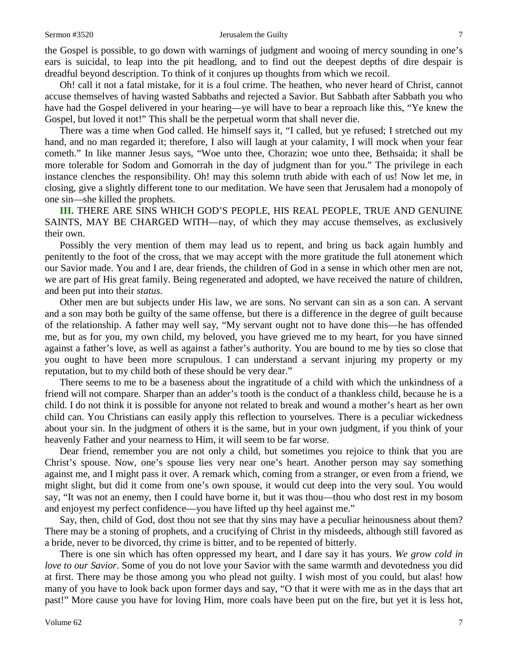the Gospel is possible, to go down with warnings of judgment and wooing of mercy sounding in one's ears is suicidal, to leap into the pit headlong, and to find out the deepest depths of dire despair is dreadful beyond description. To think of it conjures up thoughts from which we recoil.

Oh! call it not a fatal mistake, for it is a foul crime. The heathen, who never heard of Christ, cannot accuse themselves of having wasted Sabbaths and rejected a Savior. But Sabbath after Sabbath you who have had the Gospel delivered in your hearing—ye will have to bear a reproach like this, "Ye knew the Gospel, but loved it not!" This shall be the perpetual worm that shall never die.

There was a time when God called. He himself says it, "I called, but ye refused; I stretched out my hand, and no man regarded it; therefore, I also will laugh at your calamity, I will mock when your fear cometh." In like manner Jesus says, "Woe unto thee, Chorazin; woe unto thee, Bethsaida; it shall be more tolerable for Sodom and Gomorrah in the day of judgment than for you." The privilege in each instance clenches the responsibility. Oh! may this solemn truth abide with each of us! Now let me, in closing, give a slightly different tone to our meditation. We have seen that Jerusalem had a monopoly of one sin—she killed the prophets.

**III.** THERE ARE SINS WHICH GOD'S PEOPLE, HIS REAL PEOPLE, TRUE AND GENUINE SAINTS, MAY BE CHARGED WITH—nay, of which they may accuse themselves, as exclusively their own.

Possibly the very mention of them may lead us to repent, and bring us back again humbly and penitently to the foot of the cross, that we may accept with the more gratitude the full atonement which our Savior made. You and I are, dear friends, the children of God in a sense in which other men are not, we are part of His great family. Being regenerated and adopted, we have received the nature of children, and been put into their *status*.

Other men are but subjects under His law, we are sons. No servant can sin as a son can. A servant and a son may both be guilty of the same offense, but there is a difference in the degree of guilt because of the relationship. A father may well say, "My servant ought not to have done this—he has offended me, but as for you, my own child, my beloved, you have grieved me to my heart, for you have sinned against a father's love, as well as against a father's authority. You are bound to me by ties so close that you ought to have been more scrupulous. I can understand a servant injuring my property or my reputation, but to my child both of these should be very dear."

There seems to me to be a baseness about the ingratitude of a child with which the unkindness of a friend will not compare. Sharper than an adder's tooth is the conduct of a thankless child, because he is a child. I do not think it is possible for anyone not related to break and wound a mother's heart as her own child can. You Christians can easily apply this reflection to yourselves. There is a peculiar wickedness about your sin. In the judgment of others it is the same, but in your own judgment, if you think of your heavenly Father and your nearness to Him, it will seem to be far worse.

Dear friend, remember you are not only a child, but sometimes you rejoice to think that you are Christ's spouse. Now, one's spouse lies very near one's heart. Another person may say something against me, and I might pass it over. A remark which, coming from a stranger, or even from a friend, we might slight, but did it come from one's own spouse, it would cut deep into the very soul. You would say, "It was not an enemy, then I could have borne it, but it was thou—thou who dost rest in my bosom and enjoyest my perfect confidence—you have lifted up thy heel against me."

Say, then, child of God, dost thou not see that thy sins may have a peculiar heinousness about them? There may be a stoning of prophets, and a crucifying of Christ in thy misdeeds, although still favored as a bride, never to be divorced, thy crime is bitter, and to be repented of bitterly.

There is one sin which has often oppressed my heart, and I dare say it has yours. *We grow cold in love to our Savior*. Some of you do not love your Savior with the same warmth and devotedness you did at first. There may be those among you who plead not guilty. I wish most of you could, but alas! how many of you have to look back upon former days and say, "O that it were with me as in the days that art past!" More cause you have for loving Him, more coals have been put on the fire, but yet it is less hot,